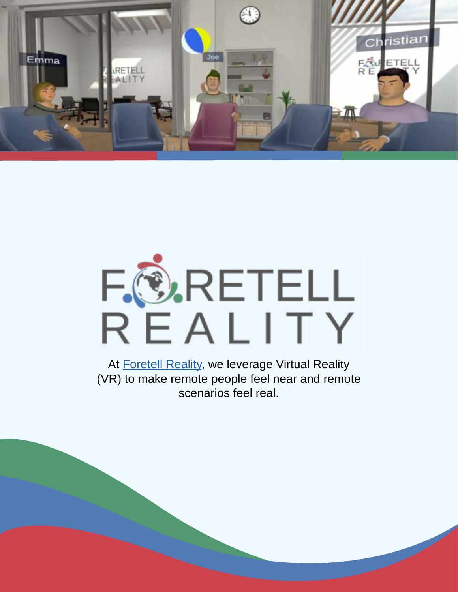

# F. O.RETELL<br>REALITY

At **Foretell Reality**, we leverage Virtual Reality (VR) to make remote people feel near and remote scenarios feel real.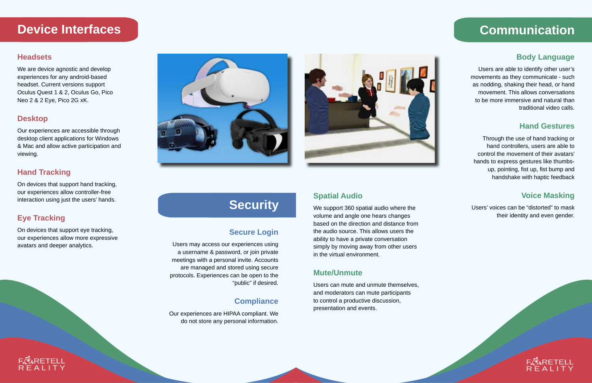#### **Headsets**

We are device agnostic and develop experiences for any android-based headset. Current versions support Oculus Quest 1 & 2, Oculus Go, Pico Neo 2 & 2 Eye, Pico 2G xK.

#### **Desktop**

Our experiences are accessible through desktop client applications for Windows & Mac and allow active participation and viewing.

#### **Hand Tracking**

On devices that support hand tracking, our experiences allow controller-free interaction using just the users' hands.

#### **Eye Tracking**

On devices that support eye tracking, our experiences allow more expressive avatars and deeper analytics.





# **Device Interfaces**

#### **Body Language**

Users are able to identify other user's movements as they communicate - such as nodding, shaking their head, or hand movement. This allows conversations to be more immersive and natural than traditional video calls.

#### **Hand Gestures**

Through the use of hand tracking or hand controllers, users are able to control the movement of their avatars' hands to express gestures like thumbsup, pointing, fist up, fist bump and handshake with haptic feedback

#### **Voice Masking**

Users' voices can be "distorted" to mask their identity and even gender.



### **Spatial Audio**

We support 360 spatial audio where the volume and angle one hears changes based on the direction and distance from the audio source. This allows users the ability to have a private conversation simply by moving away from other users in the virtual environment.

#### **Mute/Unmute**

Users can mute and unmute themselves, and moderators can mute participants to control a productive discussion, presentation and events.

# **Communication**

#### **Secure Login**

Users may access our experiences using a username & password, or join private meetings with a personal invite. Accounts are managed and stored using secure protocols. Experiences can be open to the "public" if desired.

## **Compliance**

Our experiences are HIPAA compliant. We do not store any personal information.

# **Security**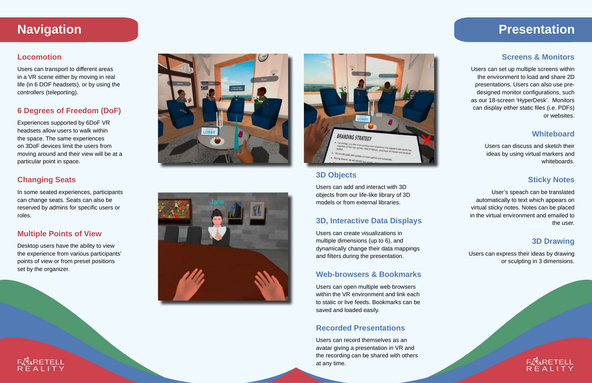#### **Locomotion**

Users can transport to different areas in a VR scene either by moving in real life (in 6 DOF headsets), or by using the controllers (teleporting).

#### **6 Degrees of Freedom (DoF)**

Experiences supported by 6DoF VR headsets allow users to walk within the space. The same experiences on 3DoF devices limit the users from moving around and their view will be at a particular point in space.

#### **Changing Seats**

In some seated experiences, participants can change seats. Seats can also be reserved by admins for specific users or roles.

#### **Multiple Points of View**

Desktop users have the ability to view the experience from various participants' points of view or from preset positions set by the organizer.







#### **Screens & Monitors**

Users can set up multiple screens within the environment to load and share 2D presentations. Users can also use predesigned monitor configurations, such as our 18-screen 'HyperDesk'. Monitors can display either static files (i.e. PDFs) or websites.

#### **Whiteboard**

Users can discuss and sketch their ideas by using virtual markers and whiteboards.

#### **Sticky Notes**

User's speach can be translated automatically to text which appears on virtual sticky notes. Notes can be placed in the virtual environment and emailed to the user.

#### **3D Drawing**

Users can express their ideas by drawing or sculpting in 3 dimensions.



#### **3D Objects**

Users can add and interact with 3D objects from our life-like library of 3D models or from external libraries.

#### **3D, Interactive Data Displays**

Users can create visualizations in multiple dimensions (up to 6), and dynamically change their data mappings and filters during the presentation.

#### **Web-browsers & Bookmarks**

Users can open multiple web browsers within the VR environment and link each to static or live feeds. Bookmarks can be saved and loaded easily.

#### **Recorded Presentations**

Users can record themselves as an avatar giving a presentation in VR and the recording can be shared with others at any time.

## **Navigation Presentation**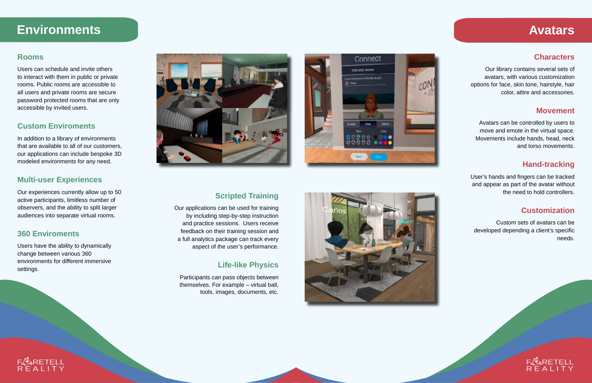#### **Rooms**

Users can schedule and invite others to interact with them in public or private rooms. Public rooms are accessible to all users and private rooms are secure password protected rooms that are only accessible by invited users.

#### **Custom Enviroments**

In addition to a library of environments that are available to all of our customers, our applications can include bespoke 3D modeled environments for any need.

#### **Multi-user Experiences**

Our experiences currently allow up to 50 active participants, limitless number of observers, and the ability to split larger audiences into separate virtual rooms.

#### **360 Enviroments**

Users have the ability to dynamically change between various 360 environments for different immersive settings.





#### **Scripted Training**

Our applications can be used for training by including step-by-step instruction and practice sessions. Users receive feedback on their training session and a full analytics package can track every aspect of the user's performance.

#### **Life-like Physics**

Participants can pass objects between themselves. For example – virtual ball, tools, images, documents, etc.



#### **Characters**

Our library contains several sets of avatars, with various customization options for face, skin tone, hairstyle, hair color, attire and accessories.

#### **Movement**

Avatars can be controlled by users to move and emote in the virtual space. Movements include hands, head, neck and torso movements.

#### **Hand-tracking**

User's hands and fingers can be tracked and appear as part of the avatar without the need to hold controllers.

#### **Customization**

Custom sets of avatars can be developed depending a client's specific needs.



# **Environments Avatars**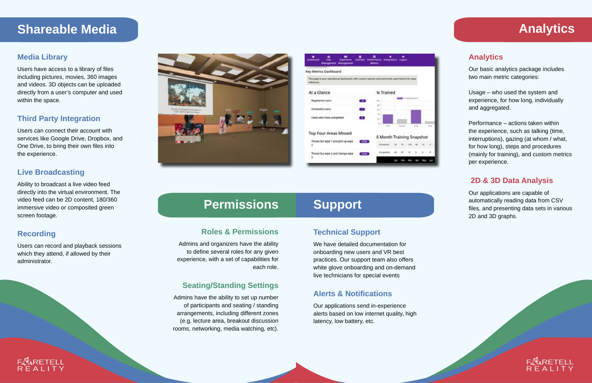#### **Media Library**

Users have access to a library of files including pictures, movies, 360 images and videos. 3D objects can be uploaded directly from a user's computer and used within the space.

#### **Third Party Integration**

Users can connect their account with services like Google Drive, Dropbox, and One Drive, to bring their own files into the experience.

#### **Live Broadcasting**

Ability to broadcast a live video feed directly into the virtual environment. The video feed can be 2D content, 180/360 immersive video or composited green screen footage.

#### **Recording**

Users can record and playback sessions which they attend, if allowed by their administrator.





#### **Analytics**

Our basic analytics package includes two main metric categories:

Usage – who used the system and experience, for how long, individually and aggregated.

Performance – actions taken within the experience, such as talking (time, interruptions), gazing (at whom / what, for how long), steps and procedures (mainly for training), and custom metrics per experience.

#### **2D & 3D Data Analysis**

Our applications are capable of automatically reading data from CSV files, and presenting data sets in various 2D and 3D graphs.



#### **Technical Support**

We have detailed documentation for onboarding new users and VR best practices. Our support team also offers white glove onboarding and on-demand live technicians for special events

#### **Alerts & Notifications**

Our applications send in-experience alerts based on low internet quality, high latency, low battery, etc.

# **Support**

# **Shareable Media**

#### **Roles & Permissions**

Admins and organizers have the ability to define several roles for any given experience, with a set of capabilities for each role.

#### **Seating/Standing Settings**

Admins have the ability to set up number of participants and seating / standing arrangements, including different zones (e.g. lecture area, breakout discussion rooms, networking, media watching, etc).

# **Permissions**

# **Analytics**